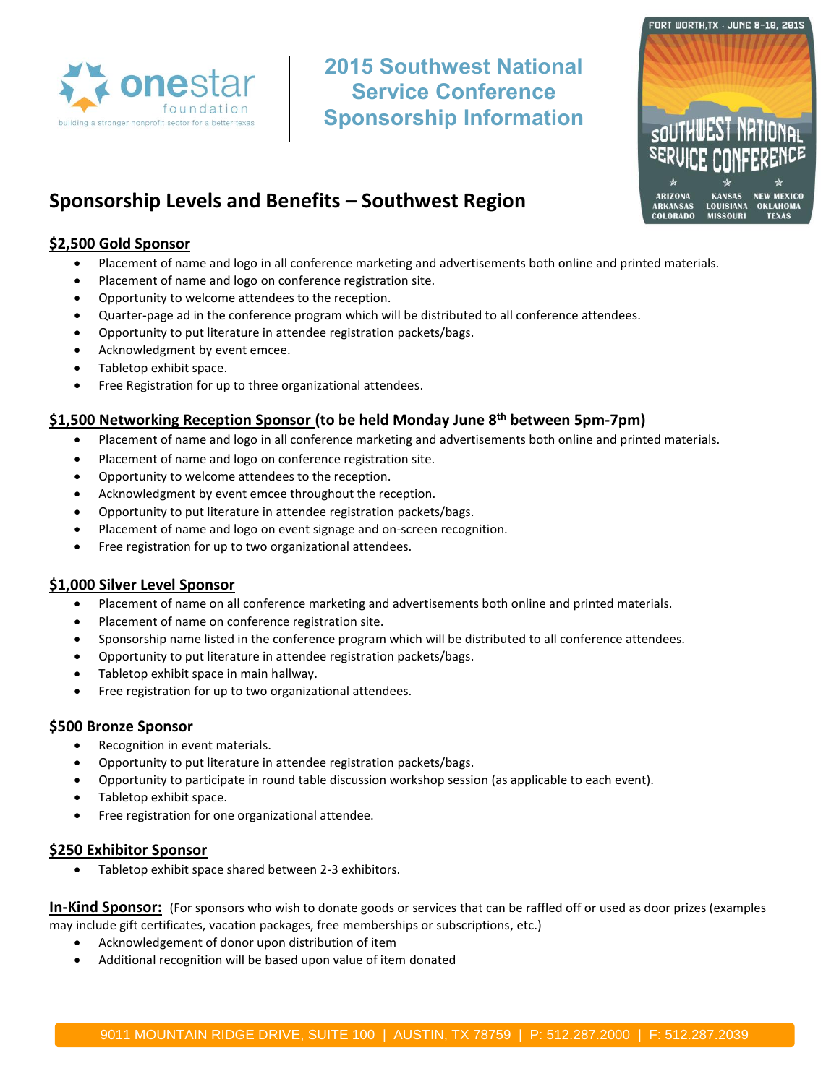

**2015 Southwest National Service Conference Sponsorship Information**



# **Sponsorship Levels and Benefits – Southwest Region**

## **\$2,500 Gold Sponsor**

- Placement of name and logo in all conference marketing and advertisements both online and printed materials.
- Placement of name and logo on conference registration site.
- Opportunity to welcome attendees to the reception.
- Quarter-page ad in the conference program which will be distributed to all conference attendees.
- Opportunity to put literature in attendee registration packets/bags.
- Acknowledgment by event emcee.
- Tabletop exhibit space.
- Free Registration for up to three organizational attendees.

## **\$1,500 Networking Reception Sponsor (to be held Monday June 8th between 5pm-7pm)**

- Placement of name and logo in all conference marketing and advertisements both online and printed materials.
- Placement of name and logo on conference registration site.
- Opportunity to welcome attendees to the reception.
- Acknowledgment by event emcee throughout the reception.
- Opportunity to put literature in attendee registration packets/bags.
- Placement of name and logo on event signage and on-screen recognition.
- Free registration for up to two organizational attendees.

### **\$1,000 Silver Level Sponsor**

- Placement of name on all conference marketing and advertisements both online and printed materials.
- Placement of name on conference registration site.
- Sponsorship name listed in the conference program which will be distributed to all conference attendees.
- Opportunity to put literature in attendee registration packets/bags.
- Tabletop exhibit space in main hallway.
- Free registration for up to two organizational attendees.

#### **\$500 Bronze Sponsor**

- Recognition in event materials.
- Opportunity to put literature in attendee registration packets/bags.
- Opportunity to participate in round table discussion workshop session (as applicable to each event).
- Tabletop exhibit space.
- Free registration for one organizational attendee.

#### **\$250 Exhibitor Sponsor**

Tabletop exhibit space shared between 2-3 exhibitors.

**In-Kind Sponsor:** (For sponsors who wish to donate goods or services that can be raffled off or used as door prizes (examples may include gift certificates, vacation packages, free memberships or subscriptions, etc.)

- Acknowledgement of donor upon distribution of item
- Additional recognition will be based upon value of item donated